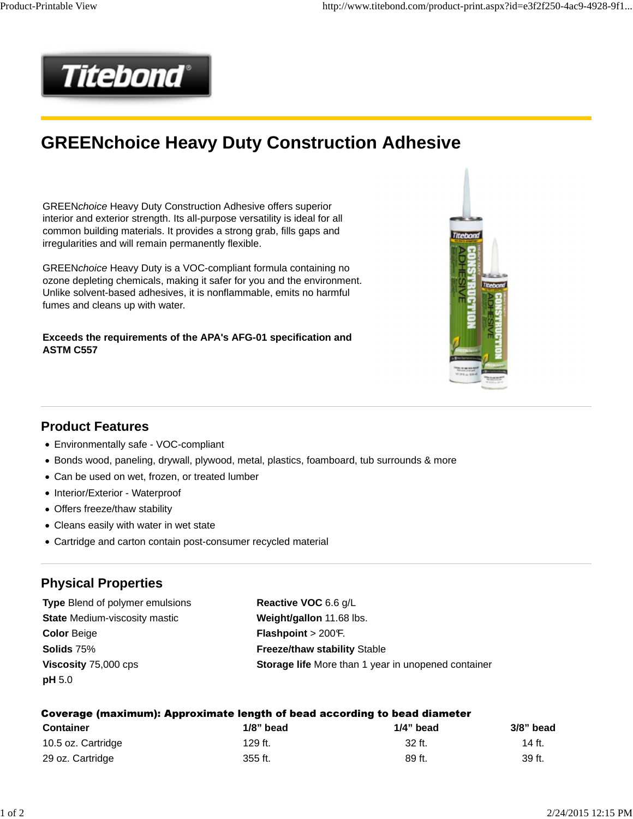

# **GREENchoice Heavy Duty Construction Adhesive**

GREENchoice Heavy Duty Construction Adhesive offers superior interior and exterior strength. Its all-purpose versatility is ideal for all common building materials. It provides a strong grab, fills gaps and irregularities and will remain permanently flexible.

GREENchoice Heavy Duty is a VOC-compliant formula containing no ozone depleting chemicals, making it safer for you and the environment. Unlike solvent-based adhesives, it is nonflammable, emits no harmful fumes and cleans up with water.

**Exceeds the requirements of the APA's AFG-01 specification and ASTM C557**



#### **Product Features**

- Environmentally safe VOC-compliant
- Bonds wood, paneling, drywall, plywood, metal, plastics, foamboard, tub surrounds & more
- Can be used on wet, frozen, or treated lumber
- Interior/Exterior Waterproof
- Offers freeze/thaw stability
- Cleans easily with water in wet state
- Cartridge and carton contain post-consumer recycled material

#### **Physical Properties**

**Type** Blend of polymer emulsions **Reactive VOC** 6.6 g/L **State Medium-viscosity mastic <b>Weight/gallon** 11.68 lbs. **Color** Beige **Flashpoint** > 200°F. **Solids** 75% **Freeze/thaw stability** Stable **pH** 5.0

**Viscosity** 75,000 cps **Storage life** More than 1 year in unopened container

| Coverage (maximum): Approximate length of bead according to bead diameter |  |  |  |
|---------------------------------------------------------------------------|--|--|--|
|---------------------------------------------------------------------------|--|--|--|

| <b>Container</b>   | $1/8$ " bead | $1/4$ " bead | 3/8" bead |
|--------------------|--------------|--------------|-----------|
| 10.5 oz. Cartridge | 129 ft.      | 32 ft.       | 14 ft.    |
| 29 oz. Cartridge   | 355 ft.      | 89 ft.       | 39 ft.    |